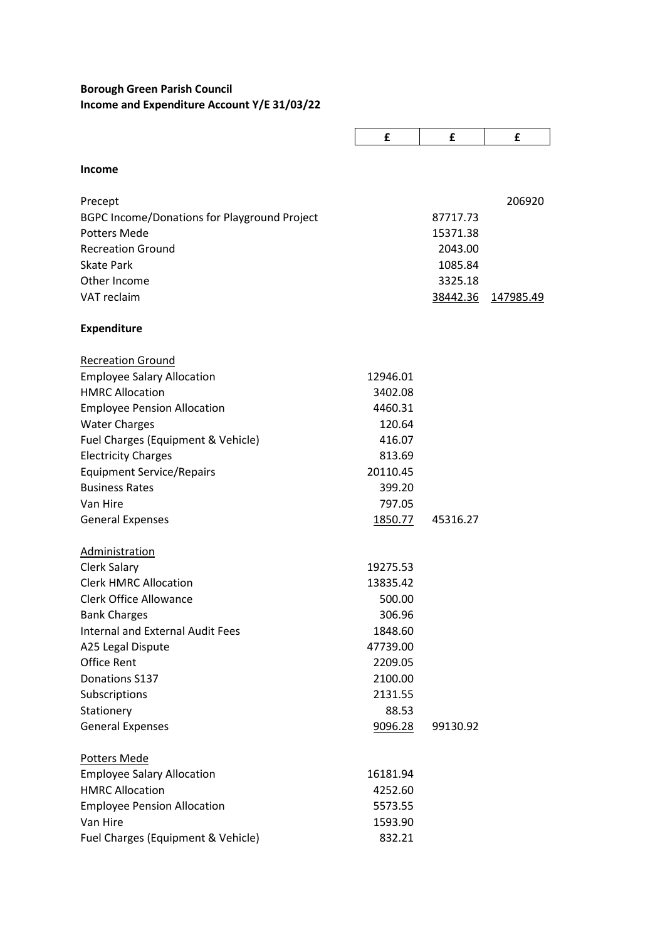## **Borough Green Parish Council Income and Expenditure Account Y/E 31/03/22**

|                                                     | £        | £        | £                |
|-----------------------------------------------------|----------|----------|------------------|
|                                                     |          |          |                  |
| <b>Income</b>                                       |          |          |                  |
| Precept                                             |          |          | 206920           |
| <b>BGPC Income/Donations for Playground Project</b> |          | 87717.73 |                  |
| <b>Potters Mede</b>                                 |          | 15371.38 |                  |
| <b>Recreation Ground</b>                            |          | 2043.00  |                  |
| <b>Skate Park</b>                                   |          | 1085.84  |                  |
| Other Income                                        |          | 3325.18  |                  |
| VAT reclaim                                         |          | 38442.36 | <u>147985.49</u> |
| <b>Expenditure</b>                                  |          |          |                  |
| <b>Recreation Ground</b>                            |          |          |                  |
| <b>Employee Salary Allocation</b>                   | 12946.01 |          |                  |
| <b>HMRC Allocation</b>                              | 3402.08  |          |                  |
| <b>Employee Pension Allocation</b>                  | 4460.31  |          |                  |
| <b>Water Charges</b>                                | 120.64   |          |                  |
| Fuel Charges (Equipment & Vehicle)                  | 416.07   |          |                  |
| <b>Electricity Charges</b>                          | 813.69   |          |                  |
| <b>Equipment Service/Repairs</b>                    | 20110.45 |          |                  |
| <b>Business Rates</b>                               | 399.20   |          |                  |
| Van Hire                                            | 797.05   |          |                  |
| <b>General Expenses</b>                             | 1850.77  | 45316.27 |                  |
| Administration                                      |          |          |                  |
| <b>Clerk Salary</b>                                 | 19275.53 |          |                  |
| <b>Clerk HMRC Allocation</b>                        | 13835.42 |          |                  |
| <b>Clerk Office Allowance</b>                       | 500.00   |          |                  |
| <b>Bank Charges</b>                                 | 306.96   |          |                  |
| Internal and External Audit Fees                    | 1848.60  |          |                  |
| A25 Legal Dispute                                   | 47739.00 |          |                  |
| <b>Office Rent</b>                                  | 2209.05  |          |                  |
| Donations S137                                      | 2100.00  |          |                  |
| Subscriptions                                       | 2131.55  |          |                  |
| Stationery                                          | 88.53    |          |                  |
| <b>General Expenses</b>                             | 9096.28  | 99130.92 |                  |
| <b>Potters Mede</b>                                 |          |          |                  |
| <b>Employee Salary Allocation</b>                   | 16181.94 |          |                  |
| <b>HMRC Allocation</b>                              | 4252.60  |          |                  |
| <b>Employee Pension Allocation</b>                  | 5573.55  |          |                  |
| Van Hire                                            | 1593.90  |          |                  |
| Fuel Charges (Equipment & Vehicle)                  | 832.21   |          |                  |